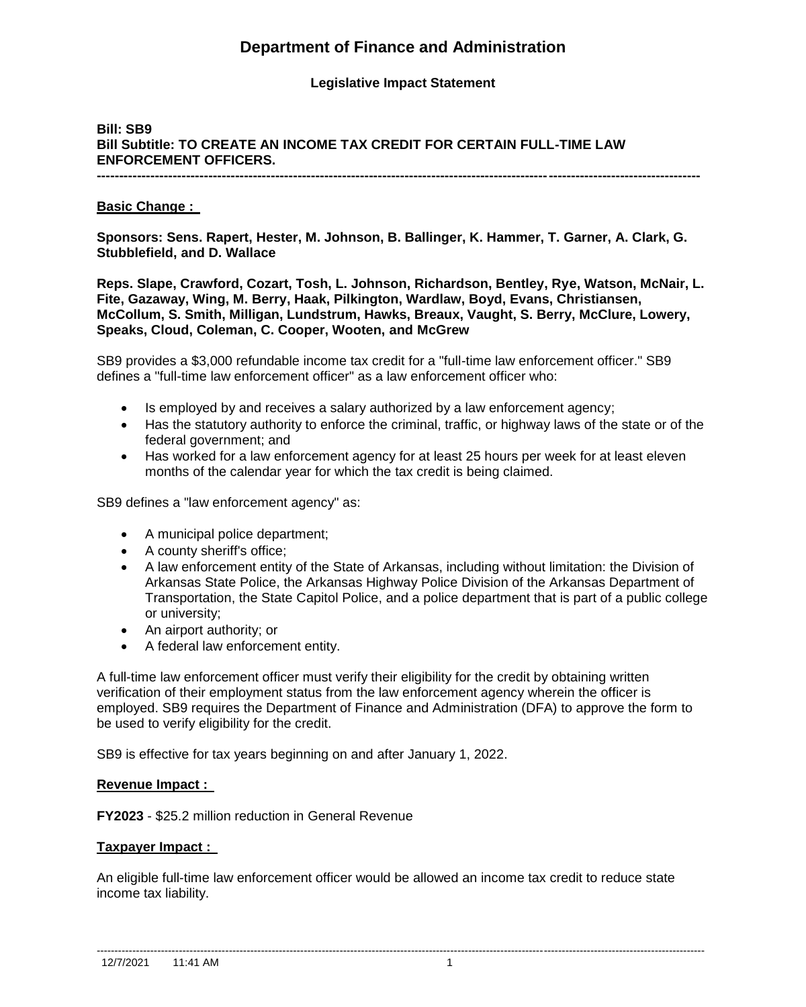# **Department of Finance and Administration**

## **Legislative Impact Statement**

# **Bill: SB9 Bill Subtitle: TO CREATE AN INCOME TAX CREDIT FOR CERTAIN FULL-TIME LAW ENFORCEMENT OFFICERS.**

**---------------------------------------------------------------------------------------------------------------------------------------**

## **Basic Change :**

**Sponsors: Sens. Rapert, Hester, M. Johnson, B. Ballinger, K. Hammer, T. Garner, A. Clark, G. Stubblefield, and D. Wallace** 

**Reps. Slape, Crawford, Cozart, Tosh, L. Johnson, Richardson, Bentley, Rye, Watson, McNair, L. Fite, Gazaway, Wing, M. Berry, Haak, Pilkington, Wardlaw, Boyd, Evans, Christiansen, McCollum, S. Smith, Milligan, Lundstrum, Hawks, Breaux, Vaught, S. Berry, McClure, Lowery, Speaks, Cloud, Coleman, C. Cooper, Wooten, and McGrew** 

SB9 provides a \$3,000 refundable income tax credit for a "full-time law enforcement officer." SB9 defines a "full-time law enforcement officer" as a law enforcement officer who:

- Is employed by and receives a salary authorized by a law enforcement agency;
- Has the statutory authority to enforce the criminal, traffic, or highway laws of the state or of the federal government; and
- Has worked for a law enforcement agency for at least 25 hours per week for at least eleven months of the calendar year for which the tax credit is being claimed.

SB9 defines a "law enforcement agency" as:

- A municipal police department;
- A county sheriff's office;
- A law enforcement entity of the State of Arkansas, including without limitation: the Division of Arkansas State Police, the Arkansas Highway Police Division of the Arkansas Department of Transportation, the State Capitol Police, and a police department that is part of a public college or university;
- An airport authority; or
- A federal law enforcement entity.

A full-time law enforcement officer must verify their eligibility for the credit by obtaining written verification of their employment status from the law enforcement agency wherein the officer is employed. SB9 requires the Department of Finance and Administration (DFA) to approve the form to be used to verify eligibility for the credit.

SB9 is effective for tax years beginning on and after January 1, 2022.

#### **Revenue Impact :**

**FY2023** - \$25.2 million reduction in General Revenue

#### **Taxpayer Impact :**

An eligible full-time law enforcement officer would be allowed an income tax credit to reduce state income tax liability.